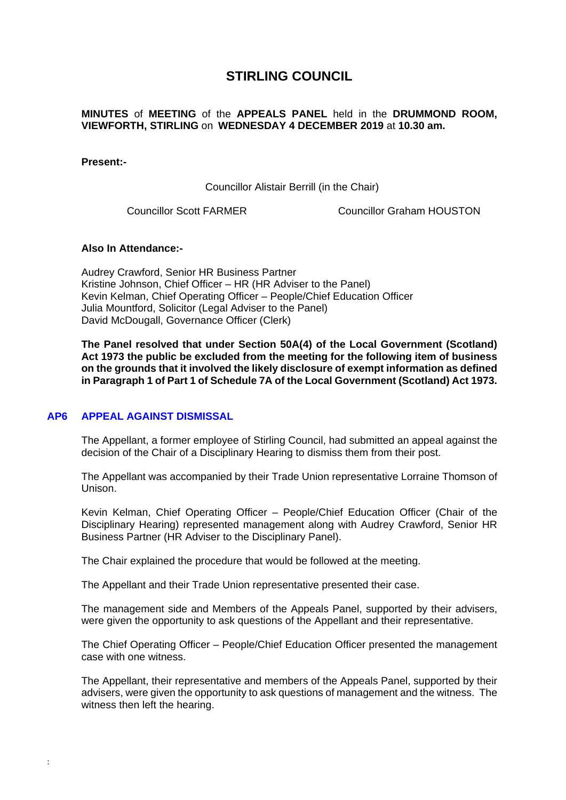# **STIRLING COUNCIL**

## **MINUTES** of **MEETING** of the **APPEALS PANEL** held in the **DRUMMOND ROOM, VIEWFORTH, STIRLING** on **WEDNESDAY 4 DECEMBER 2019** at **10.30 am.**

#### **Present:-**

Councillor Alistair Berrill (in the Chair)

Councillor Scott FARMER Councillor Graham HOUSTON

## **Also In Attendance:-**

Audrey Crawford, Senior HR Business Partner Kristine Johnson, Chief Officer – HR (HR Adviser to the Panel) Kevin Kelman, Chief Operating Officer – People/Chief Education Officer Julia Mountford, Solicitor (Legal Adviser to the Panel) David McDougall, Governance Officer (Clerk)

**The Panel resolved that under Section 50A(4) of the Local Government (Scotland) Act 1973 the public be excluded from the meeting for the following item of business on the grounds that it involved the likely disclosure of exempt information as defined in Paragraph 1 of Part 1 of Schedule 7A of the Local Government (Scotland) Act 1973.** 

#### **AP6 [APPEAL AGAINST DISMISSAL](/forms/request.htm)**

:

The Appellant, a former employee of Stirling Council, had submitted an appeal against the decision of the Chair of a Disciplinary Hearing to dismiss them from their post.

The Appellant was accompanied by their Trade Union representative Lorraine Thomson of Unison.

Kevin Kelman, Chief Operating Officer – People/Chief Education Officer (Chair of the Disciplinary Hearing) represented management along with Audrey Crawford, Senior HR Business Partner (HR Adviser to the Disciplinary Panel).

The Chair explained the procedure that would be followed at the meeting.

The Appellant and their Trade Union representative presented their case.

The management side and Members of the Appeals Panel, supported by their advisers, were given the opportunity to ask questions of the Appellant and their representative.

The Chief Operating Officer – People/Chief Education Officer presented the management case with one witness.

The Appellant, their representative and members of the Appeals Panel, supported by their advisers, were given the opportunity to ask questions of management and the witness. The witness then left the hearing.